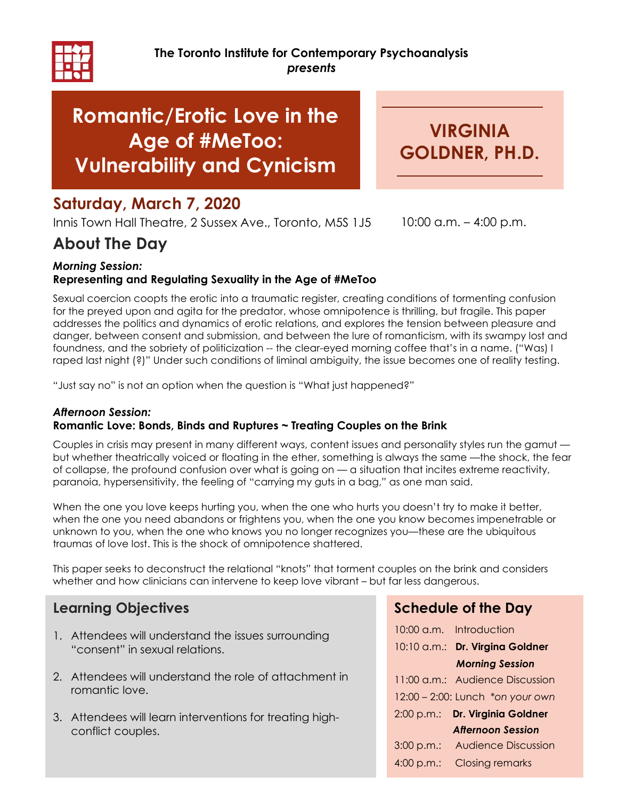

# Romantic/Erotic Love in the Age of #MeToo: Vulnerability and Cynicism

VIRGINIA GOLDNER, PH.D.

## Saturday, March 7, 2020

Innis Town Hall Theatre, 2 Sussex Ave., Toronto, M5S 1J5 10:00 a.m. - 4:00 p.m.

## About The Day

#### Morning Session: Representing and Regulating Sexuality in the Age of #MeToo

Sexual coercion coopts the erotic into a traumatic register, creating conditions of tormenting confusion for the preyed upon and agita for the predator, whose omnipotence is thrilling, but fragile. This paper addresses the politics and dynamics of erotic relations, and explores the tension between pleasure and danger, between consent and submission, and between the lure of romanticism, with its swampy lost and foundness, and the sobriety of politicization -- the clear-eyed morning coffee that's in a name. ("Was) I raped last night (?)" Under such conditions of liminal ambiguity, the issue becomes one of reality testing.

"Just say no" is not an option when the question is "What just happened?"

#### Afternoon Session: Romantic Love: Bonds, Binds and Ruptures ~ Treating Couples on the Brink

Couples in crisis may present in many different ways, content issues and personality styles run the gamut but whether theatrically voiced or floating in the ether, something is always the same —the shock, the fear of collapse, the profound confusion over what is going on — a situation that incites extreme reactivity, paranoia, hypersensitivity, the feeling of "carrying my guts in a bag," as one man said.

When the one you love keeps hurting you, when the one who hurts you doesn't try to make it better, when the one you need abandons or frightens you, when the one you know becomes impenetrable or unknown to you, when the one who knows you no longer recognizes you—these are the ubiquitous traumas of love lost. This is the shock of omnipotence shattered.

This paper seeks to deconstruct the relational "knots" that torment couples on the brink and considers whether and how clinicians can intervene to keep love vibrant – but far less dangerous.

## Learning Objectives

- 1. Attendees will understand the issues surrounding "consent" in sexual relations.
- 2. Attendees will understand the role of attachment in romantic love.
- 3. Attendees will learn interventions for treating highconflict couples.

## Schedule of the Day

|            | 10:00 a.m. Introduction          |
|------------|----------------------------------|
|            | 10:10 a.m.: Dr. Virgina Goldner  |
|            | <b>Morning Session</b>           |
|            | 11:00 a.m.: Audience Discussion  |
|            | 12:00 - 2:00: Lunch *on your own |
| 2:00 p.m.: | Dr. Virginia Goldner             |
|            | <b>Afternoon Session</b>         |
| 3:00 p.m.: | <b>Audience Discussion</b>       |
| 4:00 p.m.: | <b>Closing remarks</b>           |